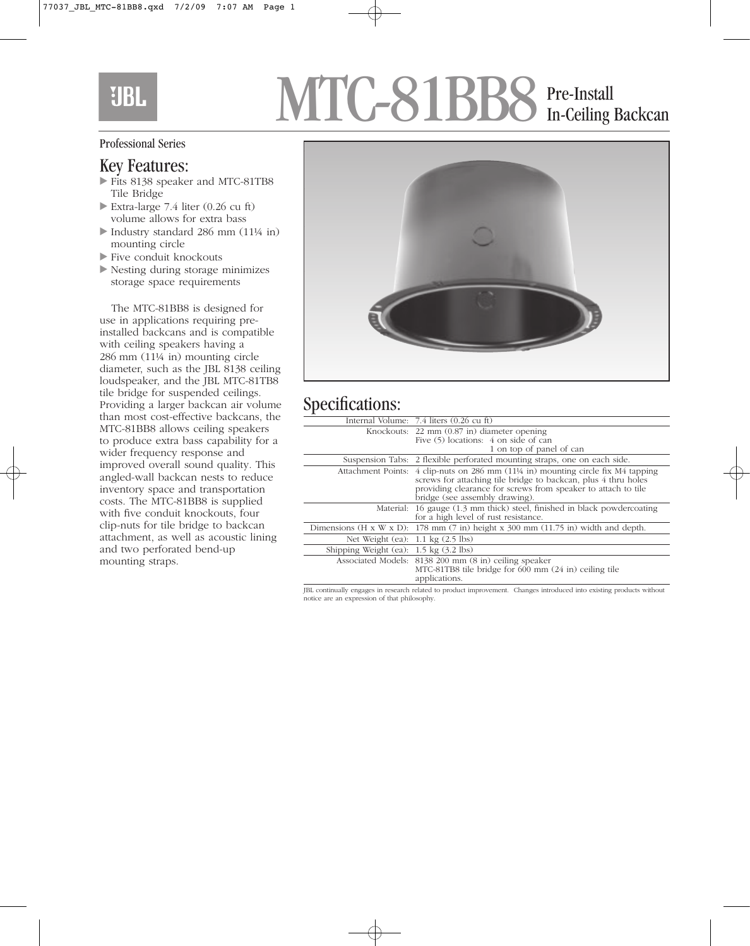## **UBL**

# MTC-81BB8 Pre-Install In-Ceiling Backcan

#### Professional Series

### Key Features:

- Fits 8138 speaker and MTC-81TB8 Tile Bridge
- Extra-large 7.4 liter (0.26 cu ft) volume allows for extra bass
- Industry standard 286 mm (11¼ in) mounting circle
- Five conduit knockouts
- Nesting during storage minimizes storage space requirements

The MTC-81BB8 is designed for use in applications requiring preinstalled backcans and is compatible with ceiling speakers having a 286 mm (11¼ in) mounting circle diameter, such as the JBL 8138 ceiling loudspeaker, and the JBL MTC-81TB8 tile bridge for suspended ceilings. Providing a larger backcan air volume than most cost-effective backcans, the MTC-81BB8 allows ceiling speakers to produce extra bass capability for a wider frequency response and improved overall sound quality. This angled-wall backcan nests to reduce inventory space and transportation costs. The MTC-81BB8 is supplied with five conduit knockouts, four clip-nuts for tile bridge to backcan attachment, as well as acoustic lining and two perforated bend-up mounting straps.



### Specifications:

| ᅩ                                                |                                                                                                                                                                                                                                                                     |
|--------------------------------------------------|---------------------------------------------------------------------------------------------------------------------------------------------------------------------------------------------------------------------------------------------------------------------|
|                                                  | Internal Volume: 7.4 liters (0.26 cu ft)                                                                                                                                                                                                                            |
|                                                  | Knockouts: 22 mm (0.87 in) diameter opening<br>Five (5) locations: 4 on side of can<br>1 on top of panel of can                                                                                                                                                     |
|                                                  | Suspension Tabs: 2 flexible perforated mounting straps, one on each side.                                                                                                                                                                                           |
|                                                  | Attachment Points: $4$ clip-nuts on 286 mm $(11\frac{1}{4}$ in) mounting circle fix M4 tapping<br>screws for attaching tile bridge to backcan, plus 4 thru holes<br>providing clearance for screws from speaker to attach to tile<br>bridge (see assembly drawing). |
|                                                  | Material: 16 gauge (1.3 mm thick) steel, finished in black powdercoating<br>for a high level of rust resistance.                                                                                                                                                    |
|                                                  | Dimensions (H x W x D): 178 mm (7 in) height x 300 mm (11.75 in) width and depth.                                                                                                                                                                                   |
| Net Weight (ea): $1.1 \text{ kg}$ (2.5 lbs)      |                                                                                                                                                                                                                                                                     |
| Shipping Weight (ea): $1.5 \text{ kg}$ (3.2 lbs) |                                                                                                                                                                                                                                                                     |
|                                                  | Associated Models: 8138 200 mm (8 in) ceiling speaker<br>MTC-81TB8 tile bridge for 600 mm (24 in) ceiling tile<br>applications.                                                                                                                                     |

JBL continually engages in research related to product improvement. Changes introduced into existing products without notice are an expression of that philosophy.